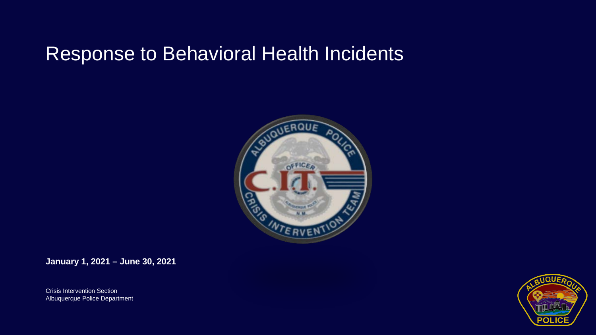## Response to Behavioral Health Incidents



**January 1, 2021 – June 30, 2021**

Crisis Intervention Section Albuquerque Police Department

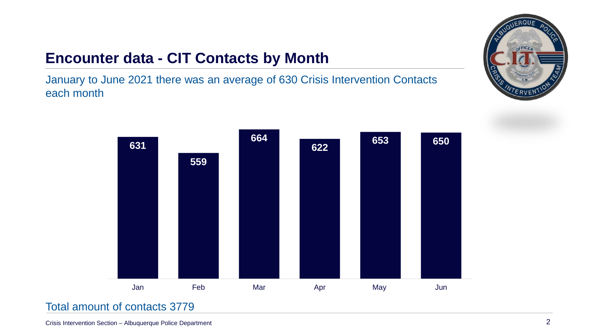### **Encounter data - CIT Contacts by Month**

January to June 2021 there was an average of 630 Crisis Intervention Contacts each month





#### Total amount of contacts 3779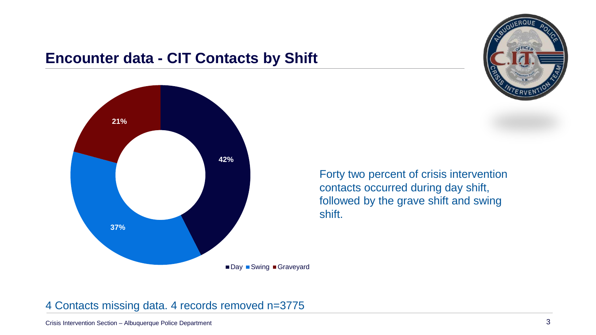#### **Encounter data - CIT Contacts by Shift**





Forty two percent of crisis intervention contacts occurred during day shift, followed by the grave shift and swing shift.

#### 4 Contacts missing data. 4 records removed n=3775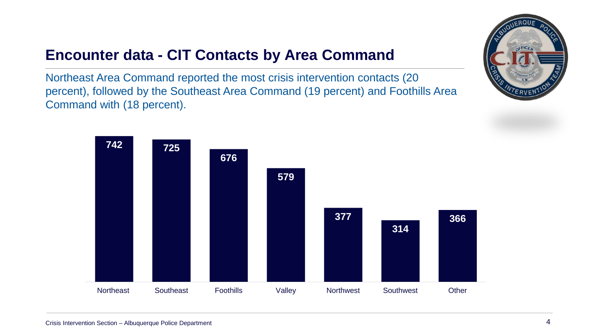### **Encounter data - CIT Contacts by Area Command**

Northeast Area Command reported the most crisis intervention contacts (20 percent), followed by the Southeast Area Command (19 percent) and Foothills Area Command with (18 percent).

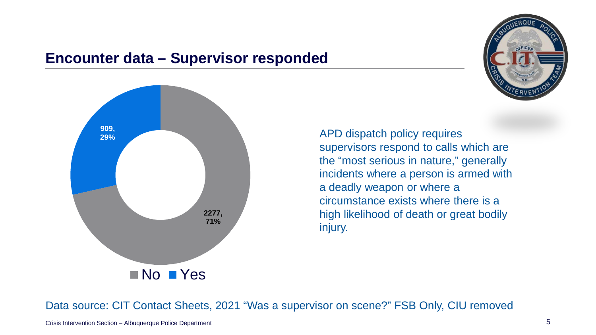#### **Encounter data – Supervisor responded**





APD dispatch policy requires supervisors respond to calls which are the "most serious in nature," generally incidents where a person is armed with a deadly weapon or where a circumstance exists where there is a high likelihood of death or great bodily injury.

Data source: CIT Contact Sheets, 2021 "Was a supervisor on scene?" FSB Only, CIU removed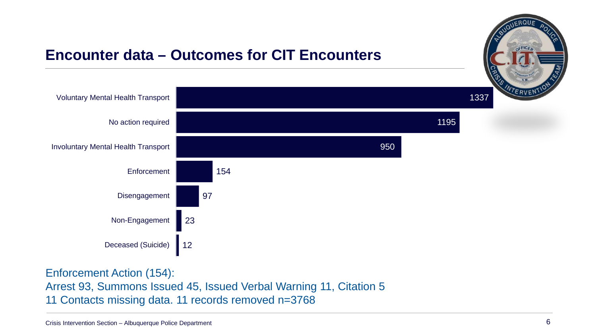

Enforcement Action (154): Arrest 93, Summons Issued 45, Issued Verbal Warning 11, Citation 5 11 Contacts missing data. 11 records removed n=3768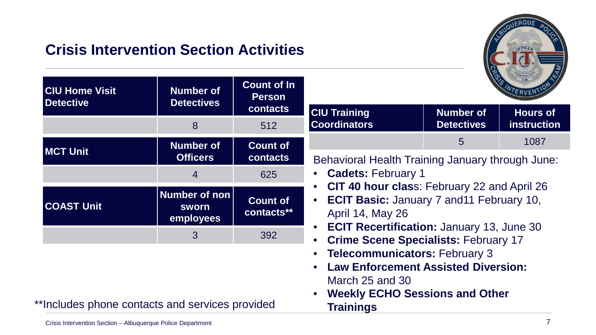#### **Crisis Intervention Section Activities**



| <b>CIU Home Visit</b><br><b>Detective</b> | <b>Number of</b><br><b>Detectives</b>      | <b>Count of In</b><br><b>Person</b><br><b>contacts</b>                                                         | WTERVENT                                                                                                                                                                                   |                   |                    |
|-------------------------------------------|--------------------------------------------|----------------------------------------------------------------------------------------------------------------|--------------------------------------------------------------------------------------------------------------------------------------------------------------------------------------------|-------------------|--------------------|
|                                           |                                            |                                                                                                                | <b>CIU Training</b>                                                                                                                                                                        | <b>Number of</b>  | <b>Hours of</b>    |
|                                           | 8                                          | 512                                                                                                            | <b>Coordinators</b>                                                                                                                                                                        | <b>Detectives</b> | <b>instruction</b> |
| <b>MCT Unit</b>                           | <b>Number of</b>                           | <b>Count of</b><br><b>contacts</b>                                                                             |                                                                                                                                                                                            | 5                 | 1087               |
|                                           | <b>Officers</b>                            |                                                                                                                | Behavioral Health Training January through June:<br>• Cadets: February 1<br>CIT 40 hour class: February 22 and April 26<br>• ECIT Basic: January 7 and 11 February 10,<br>April 14, May 26 |                   |                    |
|                                           | 4                                          | 625                                                                                                            |                                                                                                                                                                                            |                   |                    |
| <b>COAST Unit</b>                         | Number of non<br><b>SWOrn</b><br>employees | <b>Count of</b><br>contacts**                                                                                  |                                                                                                                                                                                            |                   |                    |
|                                           | 3                                          | <b>ECIT Recertification: January 13, June 30</b><br>$\bullet$<br>392<br>• Crime Scene Specialists: February 17 |                                                                                                                                                                                            |                   |                    |
|                                           |                                            |                                                                                                                | • Telecommunicators: February 3<br>• Law Enforcement Assisted Diversion:                                                                                                                   |                   |                    |

March 25 and 30

**Trainings**

• **Weekly ECHO Sessions and Other** 

\*\*Includes phone contacts and services provided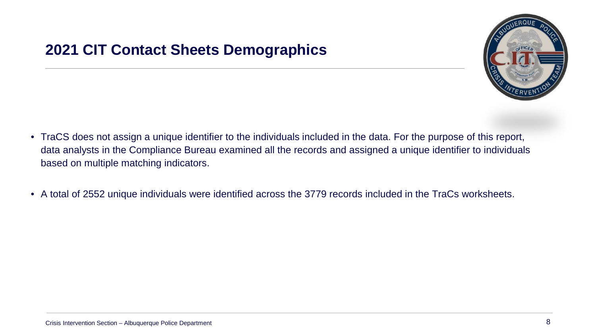#### **2021 CIT Contact Sheets Demographics**



- TraCS does not assign a unique identifier to the individuals included in the data. For the purpose of this report, data analysts in the Compliance Bureau examined all the records and assigned a unique identifier to individuals based on multiple matching indicators.
- A total of 2552 unique individuals were identified across the 3779 records included in the TraCs worksheets.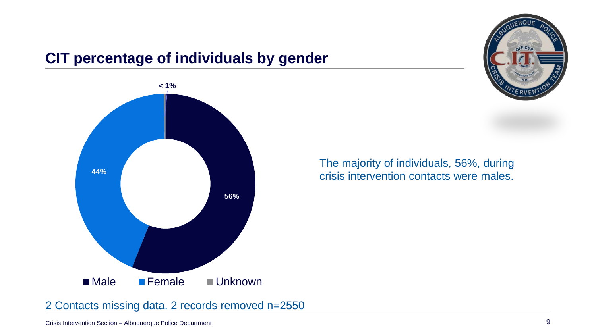#### **CIT percentage of individuals by gender**



The majority of individuals, 56%, during crisis intervention contacts were males.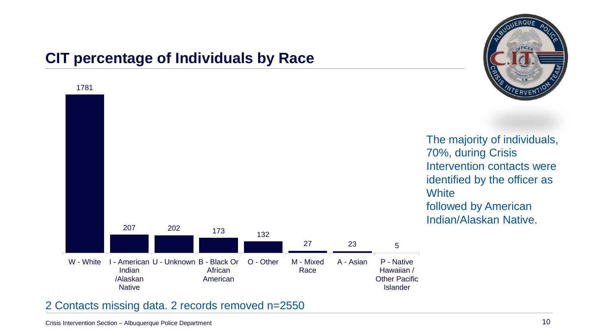# **CIT percentage of Individuals by Race**



2 Contacts missing data. 2 records removed n=2550

**SFFICE**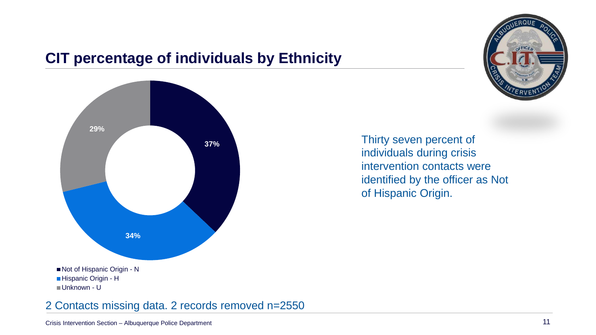

### **CIT percentage of individuals by Ethnicity**



Thirty seven percent of individuals during crisis intervention contacts were identified by the officer as Not of Hispanic Origin.

2 Contacts missing data. 2 records removed n=2550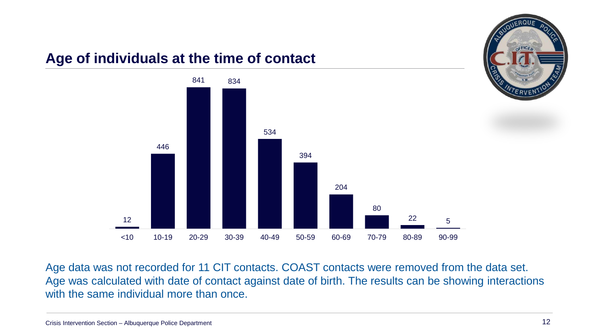

Age data was not recorded for 11 CIT contacts. COAST contacts were removed from the data set. Age was calculated with date of contact against date of birth. The results can be showing interactions with the same individual more than once.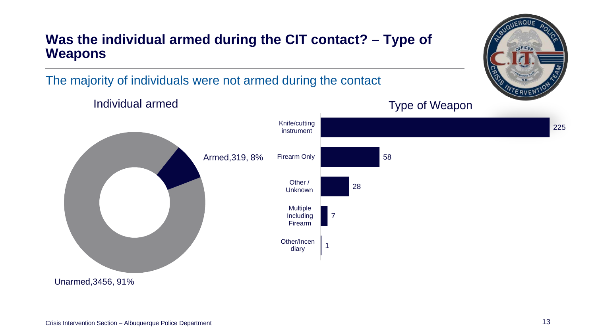#### **Was the individual armed during the CIT contact? – Type of Weapons**

The majority of individuals were not armed during the contact



OFFICE

**ERVE**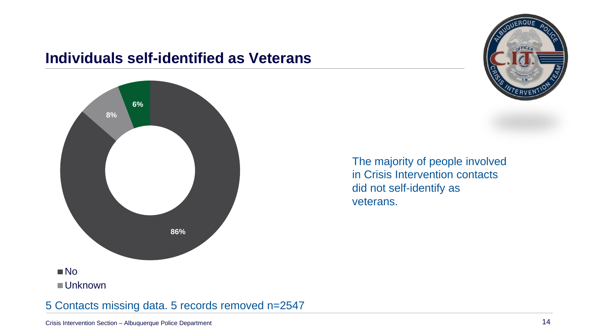#### **Individuals self-identified as Veterans**



The majority of people involved in Crisis Intervention contacts did not self-identify as veterans.



#### 5 Contacts missing data. 5 records removed n=2547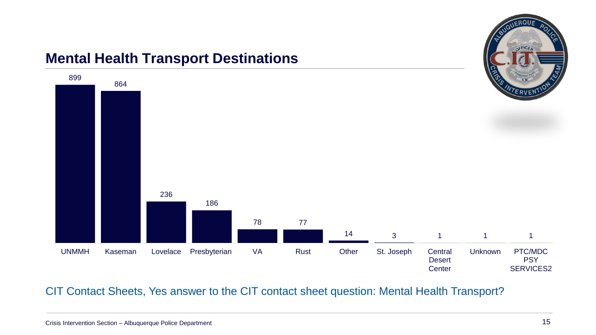#### **Mental Health Transport Destinations**



CIT Contact Sheets, Yes answer to the CIT contact sheet question: Mental Health Transport?

OFFICE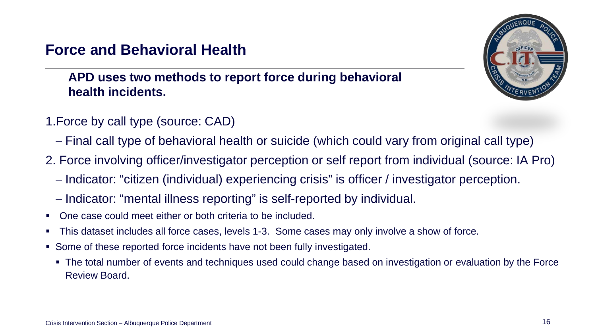#### **Force and Behavioral Health**

#### **APD uses two methods to report force during behavioral health incidents.**



- 1.Force by call type (source: CAD)
	- − Final call type of behavioral health or suicide (which could vary from original call type)
- 2. Force involving officer/investigator perception or self report from individual (source: IA Pro)
	- − Indicator: "citizen (individual) experiencing crisis" is officer / investigator perception.
	- − Indicator: "mental illness reporting" is self-reported by individual.
- One case could meet either or both criteria to be included.
- This dataset includes all force cases, levels 1-3. Some cases may only involve a show of force.
- Some of these reported force incidents have not been fully investigated.
	- The total number of events and techniques used could change based on investigation or evaluation by the Force Review Board.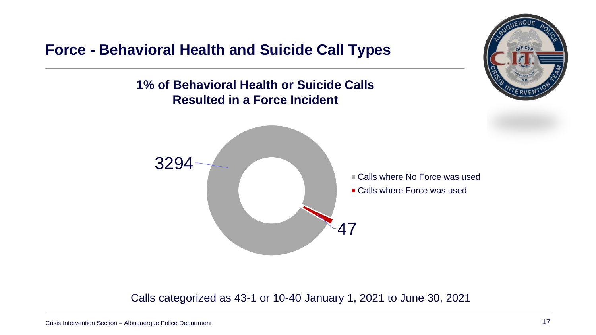**Force - Behavioral Health and Suicide Call Types**

**1% of Behavioral Health or Suicide Calls Resulted in a Force Incident**



Calls categorized as 43-1 or 10-40 January 1, 2021 to June 30, 2021

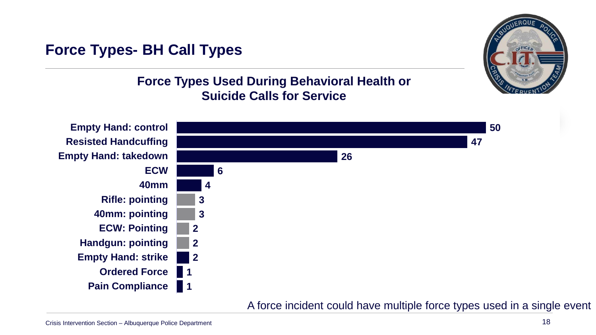#### **Force Types- BH Call Types**

#### **Force Types Used During Behavioral Health or Suicide Calls for Service**



A force incident could have multiple force types used in a single event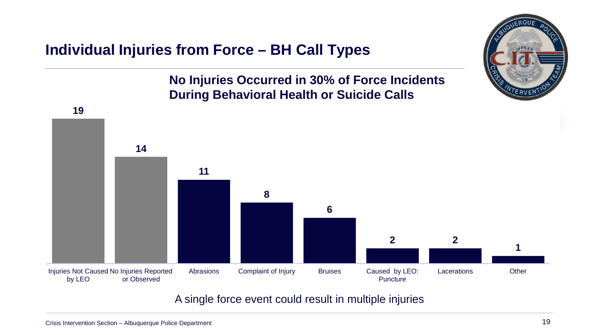#### **Individual Injuries from Force – BH Call Types**

#### **No Injuries Occurred in 30% of Force Incidents During Behavioral Health or Suicide Calls**



A single force event could result in multiple injuries

FFICE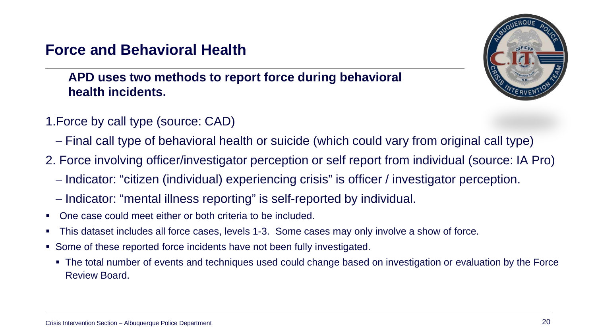#### **Force and Behavioral Health**

#### **APD uses two methods to report force during behavioral health incidents.**



- 1.Force by call type (source: CAD)
	- − Final call type of behavioral health or suicide (which could vary from original call type)
- 2. Force involving officer/investigator perception or self report from individual (source: IA Pro)
	- − Indicator: "citizen (individual) experiencing crisis" is officer / investigator perception.
	- − Indicator: "mental illness reporting" is self-reported by individual.
- One case could meet either or both criteria to be included.
- This dataset includes all force cases, levels 1-3. Some cases may only involve a show of force.
- Some of these reported force incidents have not been fully investigated.
	- The total number of events and techniques used could change based on investigation or evaluation by the Force Review Board.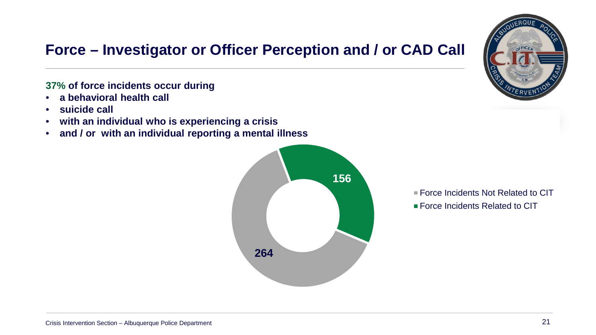#### **Force – Investigator or Officer Perception and / or CAD Call**

#### **37% of force incidents occur during**

- **a behavioral health call**
- **suicide call**
- **with an individual who is experiencing a crisis**
- **and / or with an individual reporting a mental illness**





■ Force Incidents Not Related to CIT **Force Incidents Related to CIT**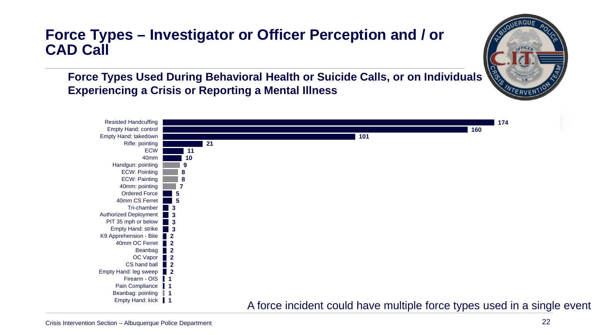#### **Force Types – Investigator or Officer Perception and / or CAD Call**

**Force Types Used During Behavioral Health or Suicide Calls, or on Individuals Experiencing a Crisis or Reporting a Mental Illness**



ERVEI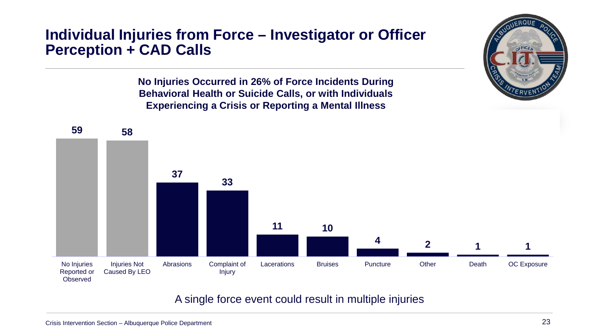#### **Individual Injuries from Force – Investigator or Officer Perception + CAD Calls**

**No Injuries Occurred in 26% of Force Incidents During Behavioral Health or Suicide Calls, or with Individuals Experiencing a Crisis or Reporting a Mental Illness**



A single force event could result in multiple injuries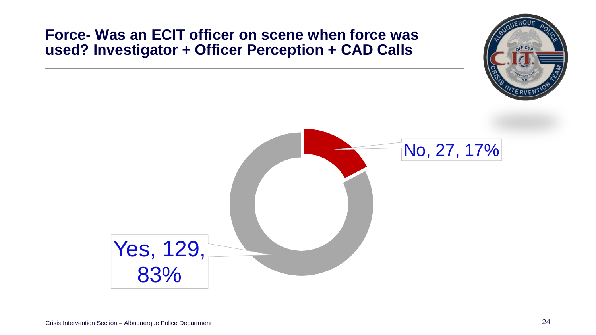#### **Force- Was an ECIT officer on scene when force was used? Investigator + Officer Perception + CAD Calls**